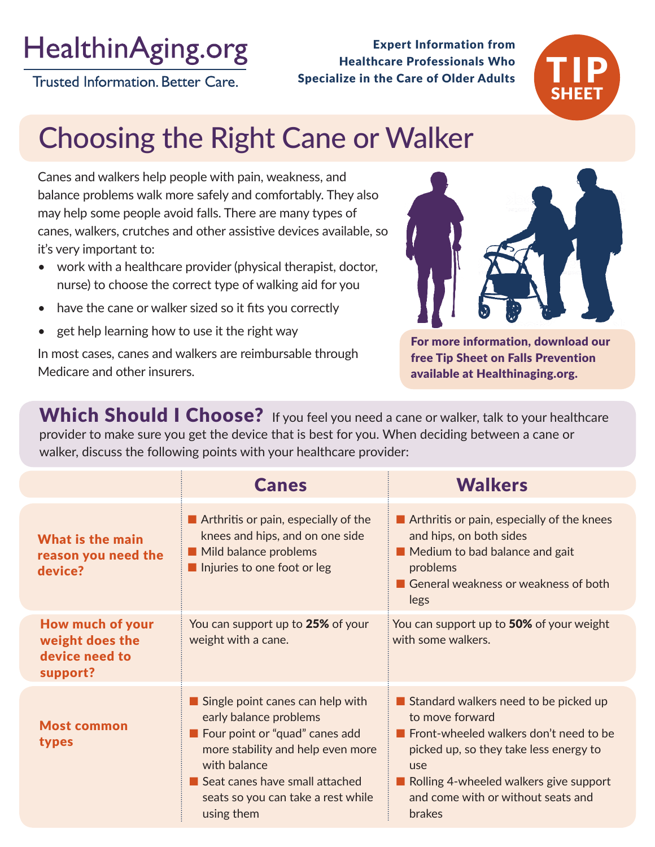# **HealthinAging.org**

**Trusted Information. Better Care.** 

Healthcare Professionals Who Specialize in the Care of Older Adults

Expert Information from



# Choosing the Right Cane or Walker

Canes and walkers help people with pain, weakness, and balance problems walk more safely and comfortably. They also may help some people avoid falls. There are many types of canes, walkers, crutches and other assistive devices available, so it's very important to:

- work with a healthcare provider (physical therapist, doctor, nurse) to choose the correct type of walking aid for you
- have the cane or walker sized so it fits you correctly
- get help learning how to use it the right way

In most cases, canes and walkers are reimbursable through Medicare and other insurers.



For more information, download our free Tip Sheet on Falls Prevention available at Healthinaging.org.

Which Should I Choose? If you feel you need a cane or walker, talk to your healthcare provider to make sure you get the device that is best for you. When deciding between a cane or walker, discuss the following points with your healthcare provider:

|                                                                   | <b>Canes</b>                                                                                                                                                                                                                                                    | <b>Walkers</b>                                                                                                                                                                                                                                |
|-------------------------------------------------------------------|-----------------------------------------------------------------------------------------------------------------------------------------------------------------------------------------------------------------------------------------------------------------|-----------------------------------------------------------------------------------------------------------------------------------------------------------------------------------------------------------------------------------------------|
| <b>What is the main</b><br>reason you need the<br>device?         | $\blacksquare$ Arthritis or pain, especially of the<br>knees and hips, and on one side<br>Mild balance problems<br>Injuries to one foot or leg                                                                                                                  | Arthritis or pain, especially of the knees<br>and hips, on both sides<br>Medium to bad balance and gait<br>problems<br>General weakness or weakness of both<br>legs                                                                           |
| How much of your<br>weight does the<br>device need to<br>support? | You can support up to 25% of your<br>weight with a cane.                                                                                                                                                                                                        | You can support up to 50% of your weight<br>with some walkers.                                                                                                                                                                                |
| <b>Most common</b><br>types                                       | $\blacksquare$ Single point canes can help with<br>early balance problems<br><b>E</b> Four point or "quad" canes add<br>more stability and help even more<br>with balance<br>Seat canes have small attached<br>seats so you can take a rest while<br>using them | Standard walkers need to be picked up<br>to move forward<br>Front-wheeled walkers don't need to be<br>picked up, so they take less energy to<br>use<br>Rolling 4-wheeled walkers give support<br>and come with or without seats and<br>brakes |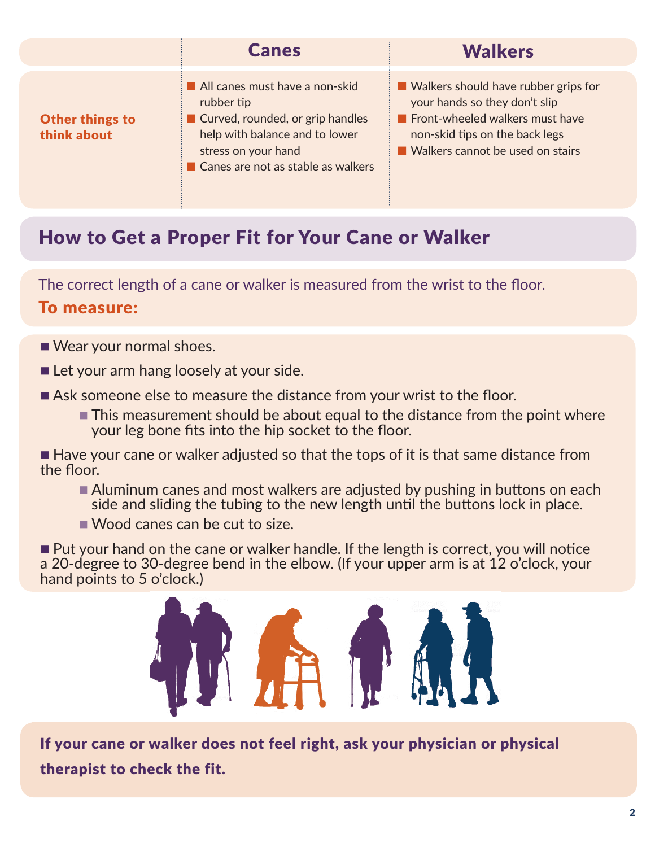|                                       | <b>Canes</b>                                                                                                                                                                    | <b>Walkers</b>                                                                                                                                                                          |
|---------------------------------------|---------------------------------------------------------------------------------------------------------------------------------------------------------------------------------|-----------------------------------------------------------------------------------------------------------------------------------------------------------------------------------------|
| <b>Other things to</b><br>think about | All canes must have a non-skid<br>rubber tip<br>Curved, rounded, or grip handles<br>help with balance and to lower<br>stress on your hand<br>Canes are not as stable as walkers | ■ Walkers should have rubber grips for<br>your hands so they don't slip<br><b>Front-wheeled walkers must have</b><br>non-skid tips on the back legs<br>Walkers cannot be used on stairs |

## How to Get a Proper Fit for Your Cane or Walker

The correct length of a cane or walker is measured from the wrist to the floor.

#### To measure:

- Wear your normal shoes.
- $\blacksquare$  Let your arm hang loosely at your side.
- Ask someone else to measure the distance from your wrist to the floor.
	- $\blacksquare$  This measurement should be about equal to the distance from the point where your leg bone fits into the hip socket to the floor.

 $\blacksquare$  Have your cane or walker adjusted so that the tops of it is that same distance from the floor.

- Aluminum canes and most walkers are adjusted by pushing in buttons on each side and sliding the tubing to the new length until the buttons lock in place.
- $\blacksquare$  Wood canes can be cut to size.

■ Put your hand on the cane or walker handle. If the length is correct, you will notice a 20-degree to 30-degree bend in the elbow. (If your upper arm is at 12 o'clock, your hand points to 5 o'clock.)



If your cane or walker does not feel right, ask your physician or physical therapist to check the fit.